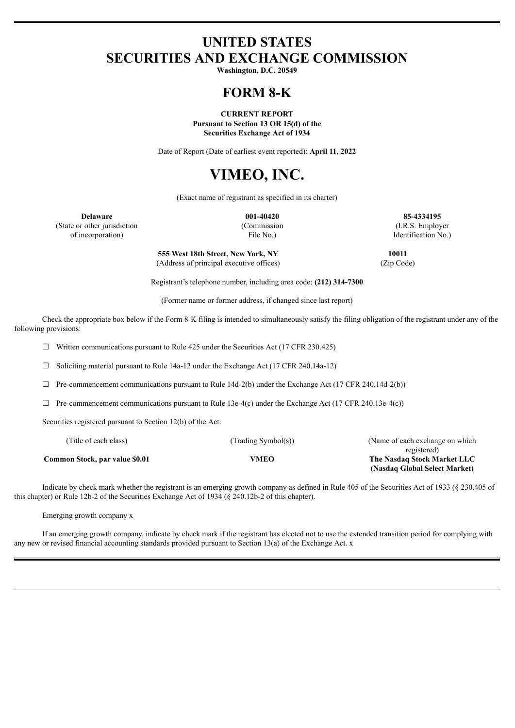# **UNITED STATES SECURITIES AND EXCHANGE COMMISSION**

**Washington, D.C. 20549**

# **FORM 8-K**

**CURRENT REPORT Pursuant to Section 13 OR 15(d) of the Securities Exchange Act of 1934**

Date of Report (Date of earliest event reported): **April 11, 2022**

# **VIMEO, INC.**

(Exact name of registrant as specified in its charter)

**Delaware 001-40420 85-4334195** (State or other jurisdiction (Commission (I.R.S. Employer of incorporation) File No.) Identification No.)

> **555 West 18th Street, New York, NY 10011** (Address of principal executive offices) (Zip Code)

Registrant's telephone number, including area code: **(212) 314-7300**

(Former name or former address, if changed since last report)

Check the appropriate box below if the Form 8-K filing is intended to simultaneously satisfy the filing obligation of the registrant under any of the following provisions:

 $\Box$  Written communications pursuant to Rule 425 under the Securities Act (17 CFR 230.425)

☐ Soliciting material pursuant to Rule 14a-12 under the Exchange Act (17 CFR 240.14a-12)

 $\Box$  Pre-commencement communications pursuant to Rule 14d-2(b) under the Exchange Act (17 CFR 240.14d-2(b))

 $\Box$  Pre-commencement communications pursuant to Rule 13e-4(c) under the Exchange Act (17 CFR 240.13e-4(c))

Securities registered pursuant to Section 12(b) of the Act:

| (Title of each class)          | (Trading Symbol(s)) | (Name of each exchange on which) |  |  |  |  |
|--------------------------------|---------------------|----------------------------------|--|--|--|--|
|                                |                     | registered)                      |  |  |  |  |
| Common Stock, par value \$0.01 | VMEO                | The Nasdaq Stock Market LLC      |  |  |  |  |
|                                |                     | (Nasdaq Global Select Market)    |  |  |  |  |

Indicate by check mark whether the registrant is an emerging growth company as defined in Rule 405 of the Securities Act of 1933 (§ 230.405 of this chapter) or Rule 12b-2 of the Securities Exchange Act of 1934 (§ 240.12b-2 of this chapter).

Emerging growth company x

If an emerging growth company, indicate by check mark if the registrant has elected not to use the extended transition period for complying with any new or revised financial accounting standards provided pursuant to Section 13(a) of the Exchange Act. x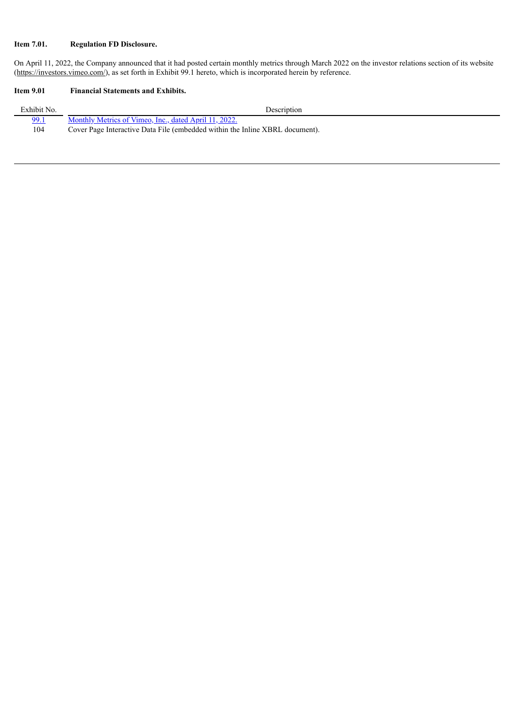## **Item 7.01. Regulation FD Disclosure.**

On April 11, 2022, the Company announced that it had posted certain monthly metrics through March 2022 on the investor relations section of its website (https://investors.vimeo.com/), as set forth in Exhibit 99.1 hereto, which is incorporated herein by reference.

## **Item 9.01 Financial Statements and Exhibits.**

| Exhibit No. | Description                                                                  |
|-------------|------------------------------------------------------------------------------|
| <u>99.1</u> | Monthly Metrics of Vimeo, Inc., dated April 11, 2022.                        |
| 104         | Cover Page Interactive Data File (embedded within the Inline XBRL document). |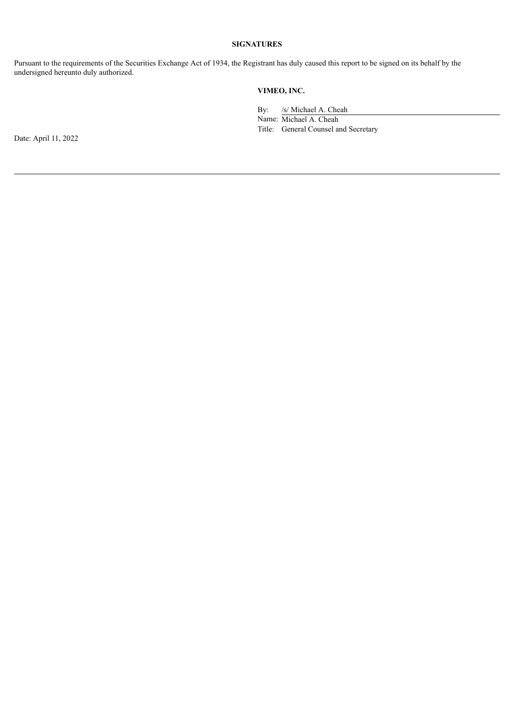#### **SIGNATURES**

Pursuant to the requirements of the Securities Exchange Act of 1934, the Registrant has duly caused this report to be signed on its behalf by the undersigned hereunto duly authorized.

## **VIMEO, INC.**

By: /s/ Michael A. Cheah

Name: Michael A. Cheah Title: General Counsel and Secretary

Date: April 11, 2022